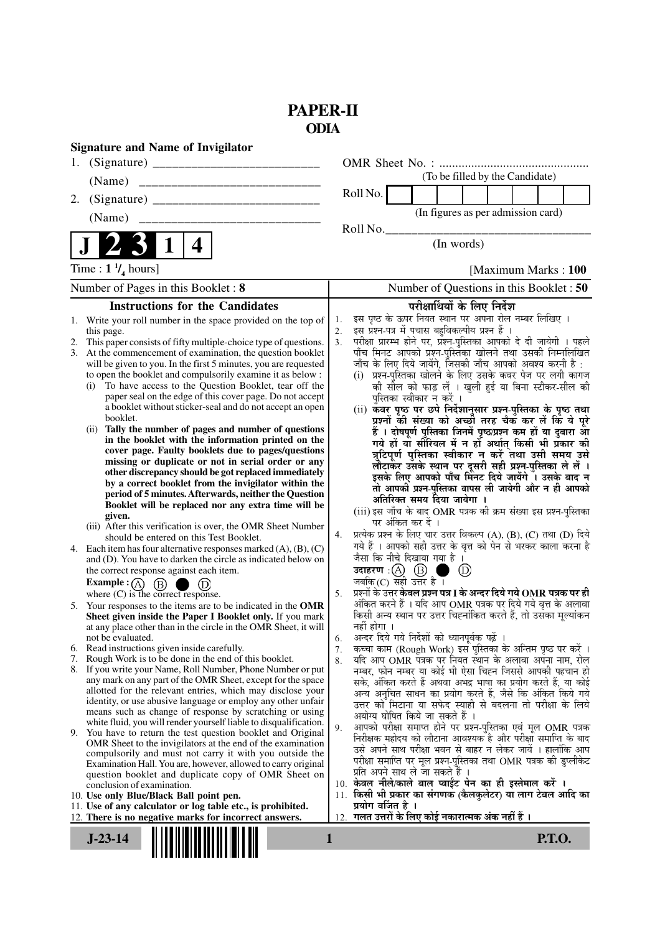## **PAPER-II ODIA**

| <b>Signature and Name of Invigilator</b><br>1.                                                                                                                                                                                                                                                                                                                                                                                                                                                                                                                                                                                                                                                                                                                                                                                                                                                                                                                                                                                                                                                                                                                                                                                                                                                                                                                                                                                                                                                                                                                                                                                                                                                                                                                                                                                                                                                                                                                                                                                                                                                                                                                                                                                                                                                                                                                                                                                                                                  |                                                                                                                                                                                                                                                                                                                                                                                                                                                                                                                                                                                                                                                                                                                                                                                                                                                                                                                                                                                                                                                                                                                                                                                                                                                                                                                                                                                                                                                                                                                                                                                                                                                                                                                                                                                                                                                                                                                                                                                                                                                                                                                                                                                                                                                                                                                                                                                                                                                                                  |
|---------------------------------------------------------------------------------------------------------------------------------------------------------------------------------------------------------------------------------------------------------------------------------------------------------------------------------------------------------------------------------------------------------------------------------------------------------------------------------------------------------------------------------------------------------------------------------------------------------------------------------------------------------------------------------------------------------------------------------------------------------------------------------------------------------------------------------------------------------------------------------------------------------------------------------------------------------------------------------------------------------------------------------------------------------------------------------------------------------------------------------------------------------------------------------------------------------------------------------------------------------------------------------------------------------------------------------------------------------------------------------------------------------------------------------------------------------------------------------------------------------------------------------------------------------------------------------------------------------------------------------------------------------------------------------------------------------------------------------------------------------------------------------------------------------------------------------------------------------------------------------------------------------------------------------------------------------------------------------------------------------------------------------------------------------------------------------------------------------------------------------------------------------------------------------------------------------------------------------------------------------------------------------------------------------------------------------------------------------------------------------------------------------------------------------------------------------------------------------|----------------------------------------------------------------------------------------------------------------------------------------------------------------------------------------------------------------------------------------------------------------------------------------------------------------------------------------------------------------------------------------------------------------------------------------------------------------------------------------------------------------------------------------------------------------------------------------------------------------------------------------------------------------------------------------------------------------------------------------------------------------------------------------------------------------------------------------------------------------------------------------------------------------------------------------------------------------------------------------------------------------------------------------------------------------------------------------------------------------------------------------------------------------------------------------------------------------------------------------------------------------------------------------------------------------------------------------------------------------------------------------------------------------------------------------------------------------------------------------------------------------------------------------------------------------------------------------------------------------------------------------------------------------------------------------------------------------------------------------------------------------------------------------------------------------------------------------------------------------------------------------------------------------------------------------------------------------------------------------------------------------------------------------------------------------------------------------------------------------------------------------------------------------------------------------------------------------------------------------------------------------------------------------------------------------------------------------------------------------------------------------------------------------------------------------------------------------------------------|
| (Name)                                                                                                                                                                                                                                                                                                                                                                                                                                                                                                                                                                                                                                                                                                                                                                                                                                                                                                                                                                                                                                                                                                                                                                                                                                                                                                                                                                                                                                                                                                                                                                                                                                                                                                                                                                                                                                                                                                                                                                                                                                                                                                                                                                                                                                                                                                                                                                                                                                                                          | (To be filled by the Candidate)                                                                                                                                                                                                                                                                                                                                                                                                                                                                                                                                                                                                                                                                                                                                                                                                                                                                                                                                                                                                                                                                                                                                                                                                                                                                                                                                                                                                                                                                                                                                                                                                                                                                                                                                                                                                                                                                                                                                                                                                                                                                                                                                                                                                                                                                                                                                                                                                                                                  |
|                                                                                                                                                                                                                                                                                                                                                                                                                                                                                                                                                                                                                                                                                                                                                                                                                                                                                                                                                                                                                                                                                                                                                                                                                                                                                                                                                                                                                                                                                                                                                                                                                                                                                                                                                                                                                                                                                                                                                                                                                                                                                                                                                                                                                                                                                                                                                                                                                                                                                 | Roll No.                                                                                                                                                                                                                                                                                                                                                                                                                                                                                                                                                                                                                                                                                                                                                                                                                                                                                                                                                                                                                                                                                                                                                                                                                                                                                                                                                                                                                                                                                                                                                                                                                                                                                                                                                                                                                                                                                                                                                                                                                                                                                                                                                                                                                                                                                                                                                                                                                                                                         |
| (Name)                                                                                                                                                                                                                                                                                                                                                                                                                                                                                                                                                                                                                                                                                                                                                                                                                                                                                                                                                                                                                                                                                                                                                                                                                                                                                                                                                                                                                                                                                                                                                                                                                                                                                                                                                                                                                                                                                                                                                                                                                                                                                                                                                                                                                                                                                                                                                                                                                                                                          | (In figures as per admission card)                                                                                                                                                                                                                                                                                                                                                                                                                                                                                                                                                                                                                                                                                                                                                                                                                                                                                                                                                                                                                                                                                                                                                                                                                                                                                                                                                                                                                                                                                                                                                                                                                                                                                                                                                                                                                                                                                                                                                                                                                                                                                                                                                                                                                                                                                                                                                                                                                                               |
|                                                                                                                                                                                                                                                                                                                                                                                                                                                                                                                                                                                                                                                                                                                                                                                                                                                                                                                                                                                                                                                                                                                                                                                                                                                                                                                                                                                                                                                                                                                                                                                                                                                                                                                                                                                                                                                                                                                                                                                                                                                                                                                                                                                                                                                                                                                                                                                                                                                                                 | Roll No.                                                                                                                                                                                                                                                                                                                                                                                                                                                                                                                                                                                                                                                                                                                                                                                                                                                                                                                                                                                                                                                                                                                                                                                                                                                                                                                                                                                                                                                                                                                                                                                                                                                                                                                                                                                                                                                                                                                                                                                                                                                                                                                                                                                                                                                                                                                                                                                                                                                                         |
| $\mathbf 1$<br>4                                                                                                                                                                                                                                                                                                                                                                                                                                                                                                                                                                                                                                                                                                                                                                                                                                                                                                                                                                                                                                                                                                                                                                                                                                                                                                                                                                                                                                                                                                                                                                                                                                                                                                                                                                                                                                                                                                                                                                                                                                                                                                                                                                                                                                                                                                                                                                                                                                                                | (In words)                                                                                                                                                                                                                                                                                                                                                                                                                                                                                                                                                                                                                                                                                                                                                                                                                                                                                                                                                                                                                                                                                                                                                                                                                                                                                                                                                                                                                                                                                                                                                                                                                                                                                                                                                                                                                                                                                                                                                                                                                                                                                                                                                                                                                                                                                                                                                                                                                                                                       |
| Time : $1 \frac{1}{4}$ hours]                                                                                                                                                                                                                                                                                                                                                                                                                                                                                                                                                                                                                                                                                                                                                                                                                                                                                                                                                                                                                                                                                                                                                                                                                                                                                                                                                                                                                                                                                                                                                                                                                                                                                                                                                                                                                                                                                                                                                                                                                                                                                                                                                                                                                                                                                                                                                                                                                                                   | [Maximum Marks: 100                                                                                                                                                                                                                                                                                                                                                                                                                                                                                                                                                                                                                                                                                                                                                                                                                                                                                                                                                                                                                                                                                                                                                                                                                                                                                                                                                                                                                                                                                                                                                                                                                                                                                                                                                                                                                                                                                                                                                                                                                                                                                                                                                                                                                                                                                                                                                                                                                                                              |
| Number of Pages in this Booklet: 8                                                                                                                                                                                                                                                                                                                                                                                                                                                                                                                                                                                                                                                                                                                                                                                                                                                                                                                                                                                                                                                                                                                                                                                                                                                                                                                                                                                                                                                                                                                                                                                                                                                                                                                                                                                                                                                                                                                                                                                                                                                                                                                                                                                                                                                                                                                                                                                                                                              | Number of Questions in this Booklet : 50                                                                                                                                                                                                                                                                                                                                                                                                                                                                                                                                                                                                                                                                                                                                                                                                                                                                                                                                                                                                                                                                                                                                                                                                                                                                                                                                                                                                                                                                                                                                                                                                                                                                                                                                                                                                                                                                                                                                                                                                                                                                                                                                                                                                                                                                                                                                                                                                                                         |
| <b>Instructions for the Candidates</b>                                                                                                                                                                                                                                                                                                                                                                                                                                                                                                                                                                                                                                                                                                                                                                                                                                                                                                                                                                                                                                                                                                                                                                                                                                                                                                                                                                                                                                                                                                                                                                                                                                                                                                                                                                                                                                                                                                                                                                                                                                                                                                                                                                                                                                                                                                                                                                                                                                          | परीक्षार्थियों के लिए निर्देश                                                                                                                                                                                                                                                                                                                                                                                                                                                                                                                                                                                                                                                                                                                                                                                                                                                                                                                                                                                                                                                                                                                                                                                                                                                                                                                                                                                                                                                                                                                                                                                                                                                                                                                                                                                                                                                                                                                                                                                                                                                                                                                                                                                                                                                                                                                                                                                                                                                    |
| 1. Write your roll number in the space provided on the top of<br>this page.<br>2. This paper consists of fifty multiple-choice type of questions.<br>3. At the commencement of examination, the question booklet<br>will be given to you. In the first 5 minutes, you are requested<br>to open the booklet and compulsorily examine it as below :<br>To have access to the Question Booklet, tear off the<br>(i)<br>paper seal on the edge of this cover page. Do not accept<br>a booklet without sticker-seal and do not accept an open<br>booklet.<br>Tally the number of pages and number of questions<br>(ii)<br>in the booklet with the information printed on the<br>cover page. Faulty booklets due to pages/questions<br>missing or duplicate or not in serial order or any<br>other discrepancy should be got replaced immediately<br>by a correct booklet from the invigilator within the<br>period of 5 minutes. Afterwards, neither the Question<br>Booklet will be replaced nor any extra time will be<br>given.<br>(iii) After this verification is over, the OMR Sheet Number<br>should be entered on this Test Booklet.<br>Each item has four alternative responses marked $(A)$ , $(B)$ , $(C)$<br>4.<br>and (D). You have to darken the circle as indicated below on<br>the correct response against each item.<br>Example : (A) $(B)$<br>where $(C)$ is the correct response.<br>5. Your responses to the items are to be indicated in the OMR<br>Sheet given inside the Paper I Booklet only. If you mark<br>at any place other than in the circle in the OMR Sheet, it will<br>not be evaluated.<br>6. Read instructions given inside carefully.<br>7.<br>Rough Work is to be done in the end of this booklet.<br>8. If you write your Name, Roll Number, Phone Number or put<br>any mark on any part of the OMR Sheet, except for the space<br>allotted for the relevant entries, which may disclose your<br>identity, or use abusive language or employ any other unfair<br>means such as change of response by scratching or using<br>white fluid, you will render yourself liable to disqualification.<br>9. You have to return the test question booklet and Original<br>OMR Sheet to the invigilators at the end of the examination<br>compulsorily and must not carry it with you outside the<br>Examination Hall. You are, however, allowed to carry original<br>question booklet and duplicate copy of OMR Sheet on<br>conclusion of examination. | इस पृष्ठ के ऊपर नियत स्थान पर अपना रोल नम्बर लिखिए ।<br>1.<br>इस प्रश्न-पत्र में पचास बहुविकल्पीय प्रश्न हैं ।<br>2.<br>परीक्षा प्रारम्भ होने पर, प्रश्न-पुस्तिका आपको दे दी जायेगी । पहले<br>3 <sub>1</sub><br>पाँच मिनट आपको प्रश्न-पुस्तिका खोलने तथा उसकी निम्नलिखित<br>जाँच के लिए दिये जायेंगे, जिसकी जाँच आपको अवश्य करनी है :<br>(i) प्रश्न-पुस्तिका खोलने के लिए उसके कवर पेज पर लगी कागज<br>की सील को फाड़ लें । खुली हुई या बिना स्टीकर-सील की<br>पुस्तिका स्वीकार न करें ।<br>(ii) कवर पृष्ठ पर छपे निर्देशानुसार प्रश्न-पुस्तिका के पृष्ठ तथा<br>प्रश्नों की संख्या को अच्छी तरह चैक कर लें कि ये पूरे<br>हैं । दोषपूर्ण पुस्तिका जिनमें पृष्ठ/प्रश्न कम हों या दुबारा आ<br>गये हों या सौरियल में न हों अर्थात् किसी भी प्रकार की<br>त्रुटिपूर्ण पुस्तिका स्वीकार न करें तथा उसी समय उसे<br>लौटाकर उसके स्थान पर दूसरी सही प्रश्न्-पुस्तिका ले लें ।<br>इसके लिए आपको पाँच मिनट दिये जायेंगे ँ। उसके बाद न<br>तो आपकी प्रश्न-पुस्तिका वापस ली जायेगी और न ही आपको<br>अतिरिक्त समय दिया जायेगा ।<br>(iii) इस जाँच के बाद OMR पत्रक की क्रम संख्या इस प्रश्न-पुस्तिका<br>पर अंकित कर दें ।<br>प्रत्येक प्रश्न के लिए चार उत्तर विकल्प (A), (B), (C) तथा (D) दिये<br>4.<br>गये हैं । आपको सही उत्तर के वृत्त को पेन से भरकर काला करना है<br>जैसा कि नीचे दिखाया गया है ।<br>उदाहरण: $(A)$ $(B)$ ।<br>$^{\circledR}$<br>a a<br>जबकि $(C)$ सही उत्तर है ।<br>प्रश्नों के उत्तर <b>केवल प्रश्न पत्र I के अन्दर दिये गये OMR पत्रक पर ही</b><br>5.<br>अंकित करने हैं । यदि आप OMR पत्रक पर दिये गये वृत्त के अलावा<br>किसी अन्य स्थान पर उत्तर चिह्नांकित करते हैं, तो उसँका मूल्यांकन<br>नहीं होगा ।<br>अन्दर दिये गये निर्देशों को ध्यानपूर्वक पढ़ें ।<br>6.<br>कच्चा काम (Rough Work) इस पुस्तिका के अन्तिम पृष्ठ पर करें ।<br>7.<br>यदि आप OMR पत्रक पर नियत स्थान के अलावा अपना नाम, रोल<br>8.<br>नम्बर, फोन नम्बर या कोई भी ऐसा चिह्न जिससे आपकी पहचान हो<br>सके, अंकित करते हैं अथवा अभद्र भाषा का प्रयोग करते हैं, या कोई<br>अन्य अनुचित साधन का प्रयोग करते हैं, जैसे कि अंकित किये गये<br>उत्तर को मिटाना या सफेद स्याही से बदलना तो परीक्षा के लिये<br>अयोग्य घोषित किये जा सकते हैं ।<br>आपको परीक्षा समाप्त होने पर प्रश्न-पुस्तिका एवं मूल OMR पत्रक<br>9.<br>निरीक्षक महोदय को लौटाना आवश्यक है और परीक्षा समाप्ति के बाद<br>उसे अपने साथ परीक्षा भवन से बाहर न लेकर जायें । हालांकि आप<br>परीक्षा समाप्ति पर मूल प्रश्न-पुस्तिका तथा OMR पत्रक की डुप्लीकेट<br>प्रति अपने साथ ले जा सकते हैं ।<br>10. केवल नीले/काले बाल प्वाईंट पेन का ही इस्तेमाल करें । |
| 10. Use only Blue/Black Ball point pen.<br>11. Use of any calculator or log table etc., is prohibited.                                                                                                                                                                                                                                                                                                                                                                                                                                                                                                                                                                                                                                                                                                                                                                                                                                                                                                                                                                                                                                                                                                                                                                                                                                                                                                                                                                                                                                                                                                                                                                                                                                                                                                                                                                                                                                                                                                                                                                                                                                                                                                                                                                                                                                                                                                                                                                          | 11. किसी भी प्रकार का संगणक (कैलकुलेटर) या लाग टेबल आदि का<br>प्रयोग वर्जित है ।                                                                                                                                                                                                                                                                                                                                                                                                                                                                                                                                                                                                                                                                                                                                                                                                                                                                                                                                                                                                                                                                                                                                                                                                                                                                                                                                                                                                                                                                                                                                                                                                                                                                                                                                                                                                                                                                                                                                                                                                                                                                                                                                                                                                                                                                                                                                                                                                 |
| 12. There is no negative marks for incorrect answers.                                                                                                                                                                                                                                                                                                                                                                                                                                                                                                                                                                                                                                                                                                                                                                                                                                                                                                                                                                                                                                                                                                                                                                                                                                                                                                                                                                                                                                                                                                                                                                                                                                                                                                                                                                                                                                                                                                                                                                                                                                                                                                                                                                                                                                                                                                                                                                                                                           | 12.  गलत उत्तरों के लिए कोई नकारात्मक अंक नहीं हैं ।                                                                                                                                                                                                                                                                                                                                                                                                                                                                                                                                                                                                                                                                                                                                                                                                                                                                                                                                                                                                                                                                                                                                                                                                                                                                                                                                                                                                                                                                                                                                                                                                                                                                                                                                                                                                                                                                                                                                                                                                                                                                                                                                                                                                                                                                                                                                                                                                                             |
| $J-23-14$<br>$\mathbf{1}$                                                                                                                                                                                                                                                                                                                                                                                                                                                                                                                                                                                                                                                                                                                                                                                                                                                                                                                                                                                                                                                                                                                                                                                                                                                                                                                                                                                                                                                                                                                                                                                                                                                                                                                                                                                                                                                                                                                                                                                                                                                                                                                                                                                                                                                                                                                                                                                                                                                       | <b>P.T.O.</b>                                                                                                                                                                                                                                                                                                                                                                                                                                                                                                                                                                                                                                                                                                                                                                                                                                                                                                                                                                                                                                                                                                                                                                                                                                                                                                                                                                                                                                                                                                                                                                                                                                                                                                                                                                                                                                                                                                                                                                                                                                                                                                                                                                                                                                                                                                                                                                                                                                                                    |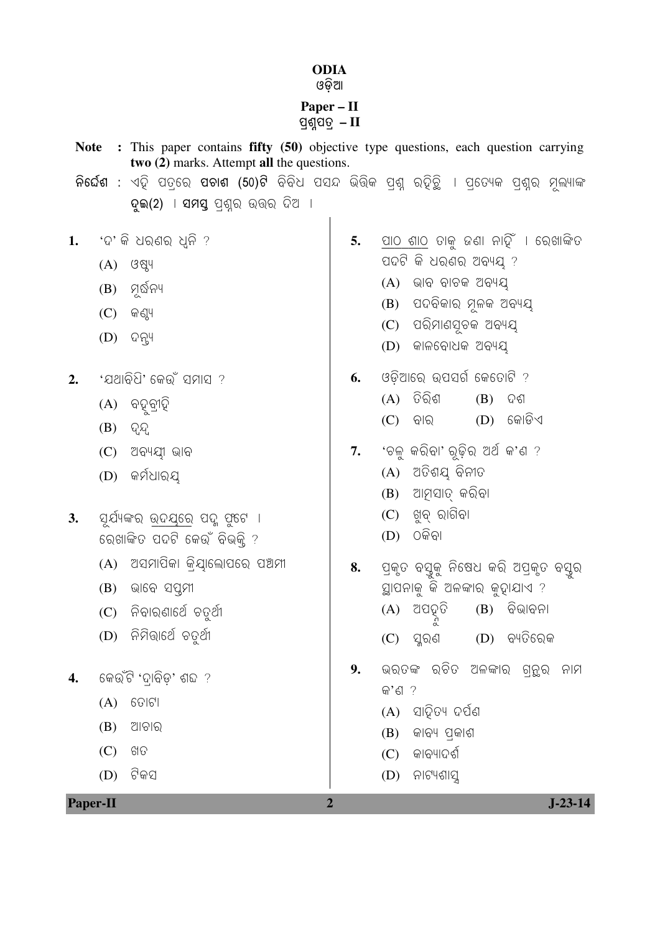## **ODIA**

## Paper - II ପୁଣ୍ଠପତ୍ $-II$

- Note : This paper contains fifty (50) objective type questions, each question carrying two (2) marks. Attempt all the questions. <mark>ନିର୍ଦ୍ଦେଶ :</mark> ଏହି ପତ୍ରେ **ପଚାଶ (50)ଟି** ବିବିଧ ପସନ୍ଦ ଭିତ୍ତିକ ପ୍ରଶ୍ନ ରହିତ୍ରି । ପ୍ରତ୍ୟେକ ପ୍ରଶ୍ନର ମୂଲ୍ୟାଙ୍କ ଦଇ(2) । ସମସ୍ ପଶ୍ର ଉତ୍ତର ଦିଅ । ପାଠ ଶାଠ ତାକୁ ଜଣା ନାହିଁ । ରେଖାଙ୍କିତ 'ଦ' କି ଧର୍ଣର ଧ୍ନି ? 5. 1. ପଦଟି କି ଧରଣର ଅବ୍ୟୟ ?  $(A)$   $(38)$ 
	- $(B)$  ମୂର୍ଷିନ୍ୟ
	- $(C)$  ଜଣ୍ୟ
	- $(D)$  ଦନ୍ଲ୍ୟ
- 'ଯଥାବିଧି' କେଉଁ ସମାସ ?  $2.$ 
	- $(A)$  ବହବ୍ରୀହି
	- $(B)$   $QQ$
	- $(C)$  ଅବ୍ୟୟୀ ଭାବ
	- (D) କର୍ମଧାର୍ଯ୍
- $\overline{3}$ . ସ୍ଯ୍ୟଙ୍କର ଉଦୟରେ ପଦୁ ପୃଟେ । ରେଖାଙ୍କିତ ପଦଟି କେଉଁ ବିଭକ୍ଲି ?
	- $(A)$  ଅସମାପିକା କିୟାଲୋପରେ ପଅଁମୀ
	- $(B)$  ଭାବେ ସପ୍ରମୀ
	- $(C)$  ନିବାରଣାର୍ଥେ ଚତର୍ଥୀ
	- $(D)$  ନିମିଭାର୍ଥେ ଚତୁର୍ଥୀ
	-
- କେଉଁଟି 'ଦାବିଡ' ଶବ୍ଦ ?  $\overline{4}$ .
	- $(A)$   $60|C|$
	- (B) ଆଚାର
	- $(C)$ ଖତ
	- $(D)$  ଟିକସ

**Paper-II** 

- - $(A)$  ଭାବ ବାଚକ ଅବ୍ୟୟ
	- $(B)$  ପଦବିକାର ମୂଳକ ଅବ୍ୟୟ
	- $(C)$  ପରିମାଣସୂଚକ ଅବ୍ୟୟ
	- $(D)$  କାଳବୋଧକ ଅବ୍ୟୟ
- ଓଡିଆରେ ଉପସର୍ଗ କେତୋଟି ? 6.
	- $(A)$  ତିରିଶ  $(B)$  ଦଶ
		- $(D)$  କୋଡିଏ  $(C)$  ବାର
- 'ଚଳୁ କରିବା' ରୁଢ଼ିର ଅର୍ଥ କ'ଣ ?  $7.$ 
	- $(A)$  ଅତିଶୟ ବିନୀତ
	- $(B)$  ଆମସାତ କରିବା
	- $(C)$  ଖୁବ୍ ରାଗିବା
	- $(D)$  ଠକିବା
- ପ୍ରକୃତ ବସ୍ତୁକୁ ନିଷେଧ କରି ଅପ୍ରକୃତ ବସ୍ତୁର 8. ସ୍ଥାପନାକୁ କି ଅଳଙ୍କାର କୁହାଯାଏ ?
	- $(B)$  ବିଭାବନା  $(A)$  ଅପହୃତି
	- $(D)$  ବ୍ୟତିରେକ  $(C)$  ସୁରଣ
- ଭରତଙ୍କ ରଚିତ ଅଳଙ୍କାର ଗ୍ରନ୍ଥ ନାମ  $9<sub>1</sub>$ କ'ଣ ?

 $J-23-14$ 

 $\overline{2}$ 

- $(A)$  ସାଦିତ୍ୟ ଦର୍ପଣ
- $(B)$  ଜାବ୍ୟ ପ୍କାଶ
- 
- 
- 
- 
- 
- 

 $(C)$  ଜାବ୍ୟାଦର୍ଶ

 $(D)$  ନାଟ୍ୟଶାସୁ

- 
- 
- 
- 
- 
- 
- 
- 
- 
-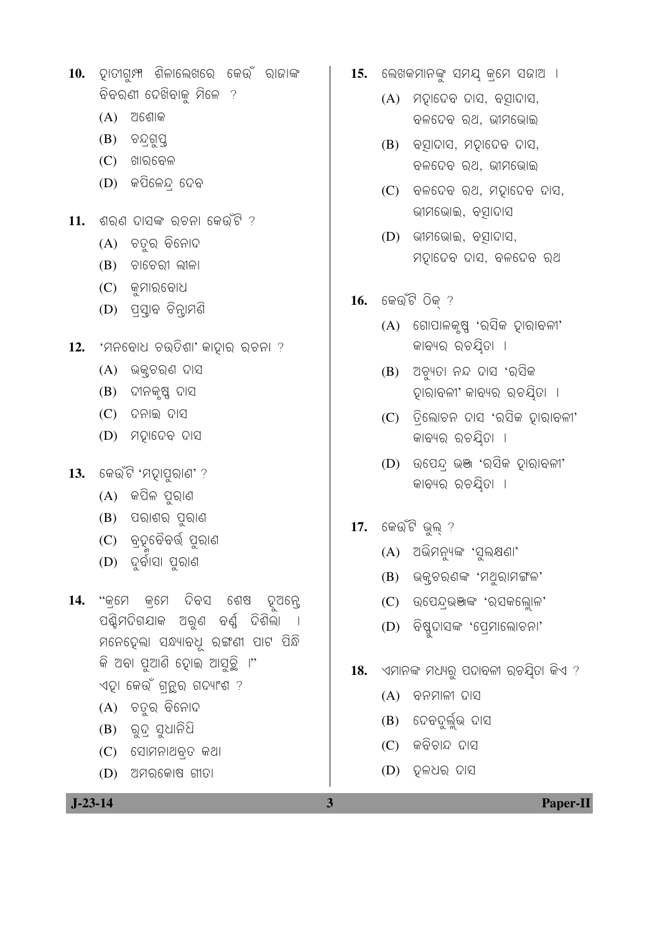- 10. ହାତୀଗୁମ୍ପ ଶିଳାଲେଖରେ କେଉଁ ରାଜାଙ୍କ ବିବରଣୀ ଦେଖିବାକୁ ମିଳେ ?
	- $(A)$  ଅଶୋକ
	- (B) ଚନ୍ଦ୍ରଗୁପ୍ତ
	- $(C)$  ଖାରବେଳ
	- $(D)$  କପିଳେନ୍ଦ୍ ଦେବ
- $11.$  ଶରଣ ଦାସଙ୍କ ରଚନା କେଉଁଟି ?
	- (A) ଚତୁର ବିନୋଦ
	- $(B)$  ଚାଚେରୀ ଲୀଳା
	- $(C)$  କମାରବୋଧ
	- (D) ପ୍ୟାବ ଚିନ୍ଢାମଣି
- 12. 'ମନବୋଧ ଚଉତିଶା' କାଦ୍ନାର ରଚନା ?
	- $(A)$  ଭକ୍ୱଚରଣ ଦାସ
	- (B) ଦୀନକୃଷ୍ଣ ଦାସ
	- $(C)$  ଦନାଇ ଦାସ
	- $(D)$  ମହାଦେବ ଦାସ
- 13. କେଉଁଟି 'ମହାପୁରାଣ' ?
	- $(A)$  କପିଳ ପୁରାଣ
	- $(B)$  ପରାଶର ପୁରାଣ
	- (C) ବ୍ତୁବୈବର୍ତ୍ତି ପୁରାଣ
	- $(D)$  ଦୁର୍ବାସା ପୁରାଣ
- 14. "କ୍ମେ କ୍ମେ ଦିବସ ଶେଷ ଦୂଅନ୍ତେ ପଶ୍ଚିମଦିଗଯାକ ଅରୁଣ ବର୍ଣୁ ଦିଶିଲା । ମନେଦେଲା ସନ୍ଧ୍ୟାବଧି ରଙ୍ଗଣୀ ପାଟ ପିନ୍ଧି କି ଅବା ପୃଆଣି ହୋଇ ଆସୁଚୁି ।" ଏହା କେଉଁ ଗ୍ରୁର ଗଦ୍ୟାଂଶ ?
	- $(A)$  ଚତୁର ବିନୋଦ
	-
	- $(B)$  ରୁଦ୍ ସୁଧାନିଧି
	- $(C)$  ସୋମନାଥବ୍ତ କଥା
	- $(D)$  ଅମର୍କୋଷ ଗୀତା
- $J-23-14$

 $\overline{\mathbf{3}}$ 

- 15. ଲେଖକମାନଙ୍କୁ ସମୟ କ୍ରମେ ସଜାଅ ।
	- (A) ମହାଦେବ ଦାସ, ବସାଦାସ, ବଳଦେବ ରଥ, ଭୀମଭୋଇ
	- $(B)$  ବସ୍ରାଦାସ, ମହାଦେବ ଦାସ, ବଳଦେବ ରଥ, ଭୀମଭୋଇ
	- $(C)$  ବଳଦେବ ରଥ, ମଦ୍ନାଦେବ ଦାସ, ଭୀମଭୋଇ, ବସାଦାସ
	- $(D)$  ଭୀମଭୋଇ, ବସାଦାସ, ମହାଦେବ ଦାସ, ବଳଦେବ ରଥ
- $16.$  କେଉଁଟି ଠିକ୍ ?
	- $(A)$  ଗୋପାଳକୃଷ୍ଣ 'ରସିକ ହାରାବଳୀ' କାବ୍ୟର ରଚୟିତା ।
	- (B) ଅଚ୍ୟୁତା ନନ୍ଦ ଦାସ 'ର୍ସିକ ହାରାବଳୀ' କାବ୍ୟର ରଚୟିତା ।
	- $(C)$  ତିଲୋଚନ ଦାସ 'ରସିକ ଦାରାବଳୀ' କାବ୍ୟର ରଚୟିତା ।
	- (D) ଉପେନ୍ଦ୍ ଭଞ୍ଜ 'ରସିକ ଦ୍ୱାରାବଳୀ' କାବ୍ୟର ରଚୟିତା ।
- 17. କେଉଁଟି ଭୁଲ୍ ?
	- (A) ଅଭିମନ୍ୟୁଙ୍କ 'ସୁଲକ୍ଷଣା'
	- (B) ଭକ୍ଟରଣଙ୍କ 'ମଥୁରାମଙ୍ଗଳ'
	- $(C)$  ଉପେନ୍ଭଞାଙ୍କ 'ରସକଲ୍ଲୋଳ'
	- (D) ବିଷ୍ଣୁଦାସଙ୍କ 'ପ୍ରେମାଲୋଚନା'
- 18. ଏମାନଙ୍କ ମଧ୍ୟରୁ ପଦାବଳୀ ରଚୟିତା କିଏ ?
	- $(A)$  ବନମାଳୀ ଦାସ
	-
	-
	-
	-
	-
	- (B) ଦେବଦୁର୍ଲୁଭ ଦାସ
	-
	-
	-
	-
	-
	- $(C)$  କବିଚାନ୍ଦ ଦାସ

 $(D)$  ଦଳଧର ଦାସ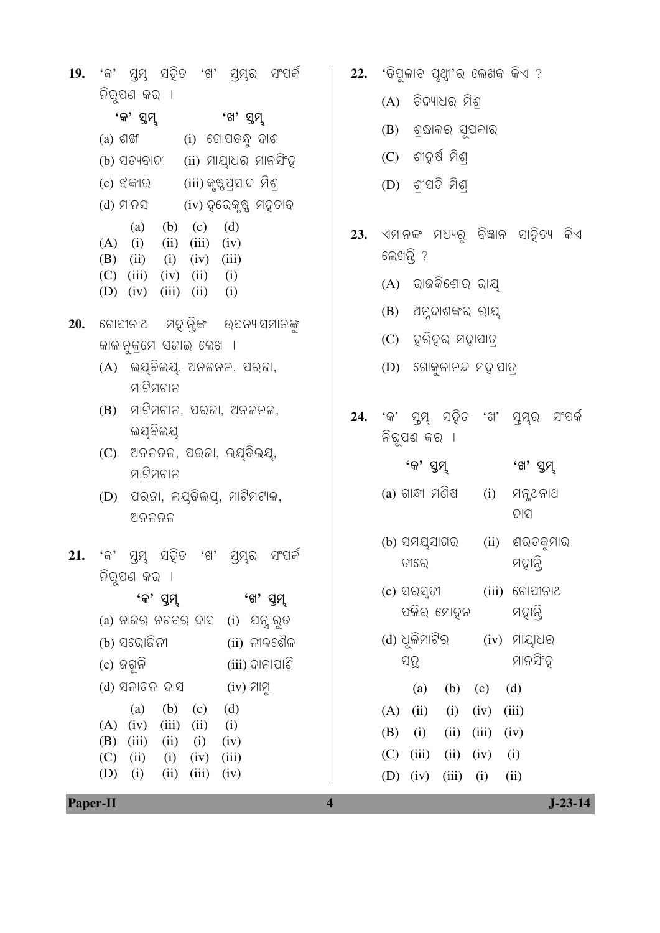|  |              |  | 19. 'କ' ସ୍ୱମ୍ନ ସହିତ 'ଖ' ସ୍ୱମ୍ନର ସଂପର୍କ |  |
|--|--------------|--|----------------------------------------|--|
|  | ନିର୍ପଣ କର  ା |  |                                        |  |

| 'ଖ' ସୁମ୍ଭ                |
|--------------------------|
| (i)  ଗୋପବନ୍ଧୁ ଦାଶ        |
| (ii) ମାୟାଧର ମାନସିଂହ      |
| (iii) କୃଷ୍ଣପ୍ରସାଦ  ମିଶ୍ର |
| (iv) ହରେକୃଷ୍ଣ ମହତାବ      |
| (d)<br>(c)               |
| (iii)<br>(iv)            |
| $(iv)$ $(iii)$           |
| (ii)<br>(i)              |
| (i)<br>(ii)              |
|                          |

- 20. ଗୋପୀନାଥ ମହାନ୍ଲିଙ୍କ ଉପନ୍ୟାସମାନଙ୍କ କାଳାନୁକ୍ମେ ସଜାଇ ଲେଖ**ା** 
	- $(A)$  ଲ୍ୟବିଲୟ, ଅନଳନଳ, ପରଜା, ମାଟିମଟାଳ
	- $(B)$  ମାଟିମଟାଳ, ପର୍ଜା, ଅନଳନଳ, ଲୟବିଲୟ
	- $(C)$  ଅନଳନଳ, ପରଜା, ଲୟବିଲୟ, ମାଟିମଟାଳ
	- $(D)$  ପରଜା, ଲୟବିଲୟ, ମାଟିମଟାଳ, ଅନଳନଳ
- 21. 'କ' ସ୍ୱମ୍ନ ସହିତ 'ଖ' ସ୍ୱମ୍ନର ସଂପର୍କ ନିର୍ପଣ କର**ା**

'କ' ସୁମ୍ 'ଖ' ସୁମ୍  $(a)$  ନାଜର ନଟବର ଦାସ  $(i)$  ଯନ୍ନାରୁଢ (ii) ନୀଳଶୈଳ (b) ସରୋଜିନୀ  $(c)$  ଜଗ୍ରନି  $(iii)$  ଦାନାପାଣି (d) ସନାତନ ଦାସ (iv) ମାମୁ (b) (c) (d)  $(a)$  $(A)$  (iv) (iii) (ii)  $(i)$  $(B)$  (iii)  $(ii)$  $(i)$  $(iv)$  $(C)$  (ii)  $(i)$   $(iv)$   $(iii)$  $(D)$  (i)  $(ii)$   $(iii)$  $(iv)$ 

 $\overline{\mathbf{4}}$ 

- 22. 'ବିପୁଳାଚ ପୃଥ୍ୱା'ର ଲେଖକ କିଏ ?
	- $(A)$  ବିଦ୍ୟାଧର ମିଶ୍
	- (B) ଶ୍ରାକର ସୂପକାର
	- $(C)$  ଶୀତ୍ୱର୍ଷ ମିଶ୍
	- $(D)$  ଶ୍ରୀପତି ମିଶ୍
- 23. ଏମାନଙ୍କ ମଧ୍ୟରୁ ବିଜ୍ଞାନ ସାହିତ୍ୟ କିଏ ଲେଖନ୍ଲି ?
	- $(A)$  ରାଜକିଶୋର ରାୟ
	- (B) ଅନୁଦାଶଙ୍କର ରାୟ
	- $(C)$  ହରିହର ମହାପାତ୍ର
	- $(D)$  ଗୋକୁଳାନନ୍ଦ ମହାପାତ୍
- 24. 'କ' ସ୍ୱମ୍ନ ସହିତ 'ଖ' ସ୍ୱମ୍ନର ସଂପର୍କ ନିର୍ପଣ କର**ା**

| 'କ' ସୁମ୍ଭ                          |      | 'ଖ' ସ୍ତମ୍ଭ               |
|------------------------------------|------|--------------------------|
| (a) ଗାନ୍ଧୀ ମଣିଷ                    |      | (i) ମନ୍ସଥନାଥ<br>ଦାସ      |
| (b) ସମଯ୍ସାଗର<br>ତୀରେ               | (ii) | ଶରତକୁମାର<br>ମତ୍ନାନ୍ତି    |
| (c) ସରସ୍ପଟୀ<br>ପର୍କର ମୋହନ          |      | (iii) ଗୋପୀନାଥ<br>ମହାନ୍ତି |
| (d) ଧୂଳିମାଟିର<br>ସନୁ               |      | (iv) ମାୟାଧର<br>ମାନସିଂହ   |
| (a) (b) (c) (d)                    |      |                          |
| $(A)$ (ii) (i) (iv) (iii)          |      |                          |
| $(B)$ (i)<br>$(ii)$ $(iii)$ $(iv)$ |      |                          |
| $(C)$ (iii) (ii) (iv) (i)          |      |                          |
| (D) (iv) (iii) (i) (ii)            |      |                          |

Paper-II

 $J-23-14$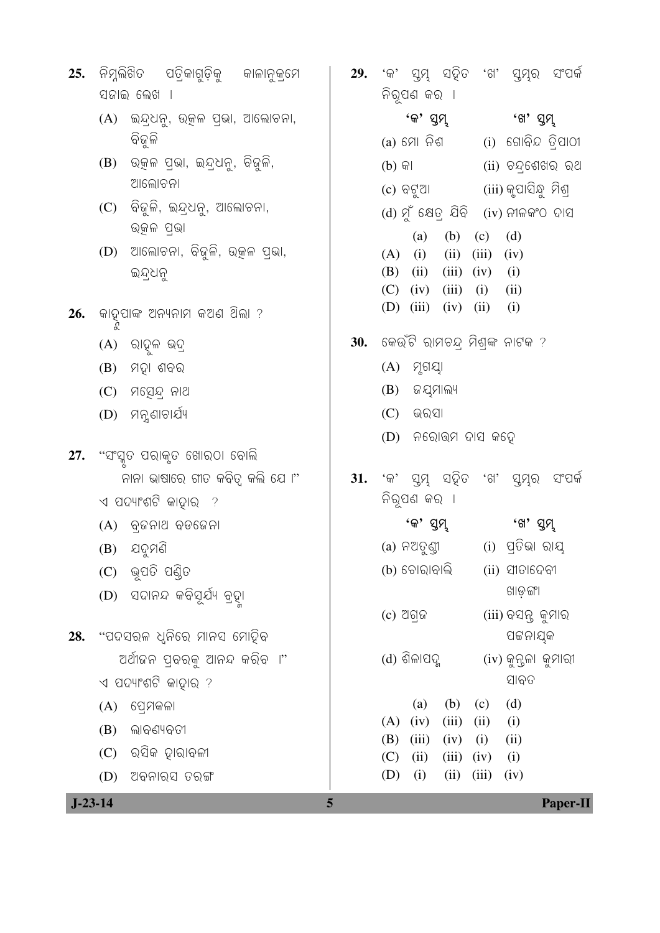| 25. |                                   | ନିମ୍ନଲିଖିତ ପତ୍ରିକାଗୁଡ଼ିକୁ କାଳାନୁକ୍ରମେ    | 29. |                    |                    |              |                     |                                          | 'କ' ସ୍ତମ୍ଭ ସହିତ 'ଖ' ସ୍ତମ୍ଭ ସଂପର୍କ |  |
|-----|-----------------------------------|------------------------------------------|-----|--------------------|--------------------|--------------|---------------------|------------------------------------------|-----------------------------------|--|
|     |                                   | ସଜାଇ ଲେଖ <b>ା</b>                        |     | ନିରୂପଣ କର <b>ା</b> |                    |              |                     |                                          |                                   |  |
|     | (A)                               | ଇନ୍ଦ୍ରଧନୁ, ଉତ୍କଳ ପ୍ରଭା, ଆଲୋଚନା,          |     |                    | 'କ' ସୁମ୍           |              |                     | 'ଖ' ସୁମ୍                                 |                                   |  |
|     |                                   | ବିଜୁଳି                                   |     |                    |                    | (a) ମୋ ନିଶ   |                     |                                          | (i) ଗୋବିନ୍ଦ ତ୍ରିପାଠୀ              |  |
|     | (B)                               | ଉତ୍କଳ ପ୍ରଭା, ଇନ୍ଦ୍ରଧନୁ, ବିଜୁଳି,          |     | $(b)$ କା           |                    |              |                     |                                          | (ii) ଚନ୍ଦ୍ରଶେଖର ରଥ                |  |
|     |                                   | ଆଲୋଚନା                                   |     |                    |                    | (c) ବଟୁଆ     |                     | (iii) କୃପାସିନ୍ଧୁ  ମିଶ୍ର                  |                                   |  |
|     | (C)                               | ବିଜୁଳି, ଇନ୍ଦ୍ରଧନୁ, ଆଲୋଚନା,<br>ଉୂଜଳ ପ୍ରଭା |     |                    |                    |              |                     | $(d)$ ମୁଁ କ୍ଷେତ୍ର ଯିବି $(iv)$ ନୀଳକଂଠ ଦାସ |                                   |  |
|     | (D)                               | ଆଲୋଚନା, ବିଜୁଳି, ଉତ୍କଳ ପ୍ରଭା,             |     | (A)                | (a)<br>(i)         | (b)<br>(ii)  | (c)<br>(iii)        | (d)<br>(iv)                              |                                   |  |
|     |                                   | ଇନ୍ଦ୍ରଧନୁ                                |     | (B)                | (ii)               | (iii)        | (iv)                | (i)                                      |                                   |  |
|     |                                   |                                          |     | (C)                | (iv)               | (iii)        | (i)                 | (ii)                                     |                                   |  |
| 26. |                                   | କାତୃପାଙ୍କ ଅନ୍ୟନାମ କଅଣ ଥିଲା ?<br>ଝ        |     | (D)                | (iii)              | (iv)         | (ii)                | (i)                                      |                                   |  |
|     | (A)                               | ରାହୁଳ ଭଦ୍ର                               | 30. |                    |                    |              |                     | କେଉଁଟି ରାମଚନ୍ ମିଶ୍ଙ୍କ ନାଟକ ?             |                                   |  |
|     | (B)                               | ମହା ଶବର                                  |     | (A)                | ମୃଗୟା              |              |                     |                                          |                                   |  |
|     | (C)                               | ମସ୍ତେନ୍ଦ୍ର ନାଥ                           |     | (B)                | <i>ର</i> ଯୁମାଲ୍ୟ   |              |                     |                                          |                                   |  |
|     | (D)                               | ମନୁଣାଚାର୍ଯ୍ୟ                             |     | (C)                | ଭରସା               |              |                     |                                          |                                   |  |
| 27. |                                   | "ସଂସ୍କୃତ ପରାକୃତ ଖୋରଠା ବୋଲି               |     | (D)                |                    |              | ନରୋତ୍ତମ ଦାସ କଢ଼େ    |                                          |                                   |  |
|     |                                   | ନାନା ଭାଷାରେ ଗୀତ କବିତ୍ୱ କଲି ଯେ ।"         | 31. |                    |                    |              | 'କ' ସ୍ତମ୍ଭ ସହିତ 'ଖ' | ସ୍ତମ୍ବ                                   | ସଂପର୍କ                            |  |
|     |                                   | $\triangleleft$ ପଦ୍ୟାଂଶଟି କାହାର  ?       |     |                    | ନିରୂପଣ କର <b>ା</b> |              |                     |                                          |                                   |  |
|     |                                   | (A) ବ୍ଜନାଥ ବଡଜେନା                        |     |                    | 'କ' ସୁମ୍ଭ          |              |                     | 'ଖ' ସୁମ୍ଭ                                |                                   |  |
|     | (B)                               | ଯଦୁମଣି                                   |     |                    |                    | (a) ନଅତୁଣ୍ଡୀ |                     | (i) ପ୍ରତିଭା ରାୟ                          |                                   |  |
|     | (C)                               | ଭୂପତି ପଣ୍ଡିତ                             |     |                    | (b) ଚୋରାବାଲି       |              |                     | $(ii)$ ସୀତାଦେବୀ                          |                                   |  |
|     | (D)                               | ସଦାନନ୍ଦ କବିସୂର୍ଯ୍ୟ ବ୍ରଦ୍ୟୁ               |     |                    |                    |              |                     | ଖାଡ଼ଙ୍ଗା                                 |                                   |  |
|     |                                   |                                          |     | $(c)$ ଅଗ୍ଜ         |                    |              |                     | (iii) ବସନ୍ତ କୁମାର                        |                                   |  |
| 28. |                                   | "ପଦସରଳ ଧ୍ୱନିରେ ମାନସ ମୋହିବ                |     |                    |                    |              |                     | ପଟ୍ଟନାଯ୍କ                                |                                   |  |
|     |                                   | ଅର୍ଥୀଜନ ପ୍ରବର୍ଜୁ ଆନନ୍ଦ କରିବ ।"           |     |                    | (d) ଶିଳାପଦୁ        |              |                     | $(iv)$ କୁନ୍ତଳା କୁମାରୀ<br>ସାବତ            |                                   |  |
|     |                                   | ଏ ପଦ୍ୟାଂଶଟି କାହାର ?                      |     |                    |                    |              |                     | (d)                                      |                                   |  |
|     | (A)                               | ପ୍ରେମକଳା                                 |     | (A)                | (a)<br>(iv)        | (b)<br>(iii) | (c)<br>(ii)         | (i)                                      |                                   |  |
|     | (B)                               | ଲାବଣ୍ୟବତୀ                                |     | (B)                | (iii)              | (iv)         | (i)                 | (ii)                                     |                                   |  |
|     | (C)                               | ରସିକ ହାରାବଳୀ                             |     | (C)                | (ii)               | (iii)        | (iv)                | (i)                                      |                                   |  |
|     | (D)                               | ଅବନାର୍ସ ତରଙ୍ଗ                            |     | (D)                | (i)                | (ii)         | (iii)               | (iv)                                     |                                   |  |
|     | $J-23-14$<br>5<br><b>Paper-II</b> |                                          |     |                    |                    |              |                     |                                          |                                   |  |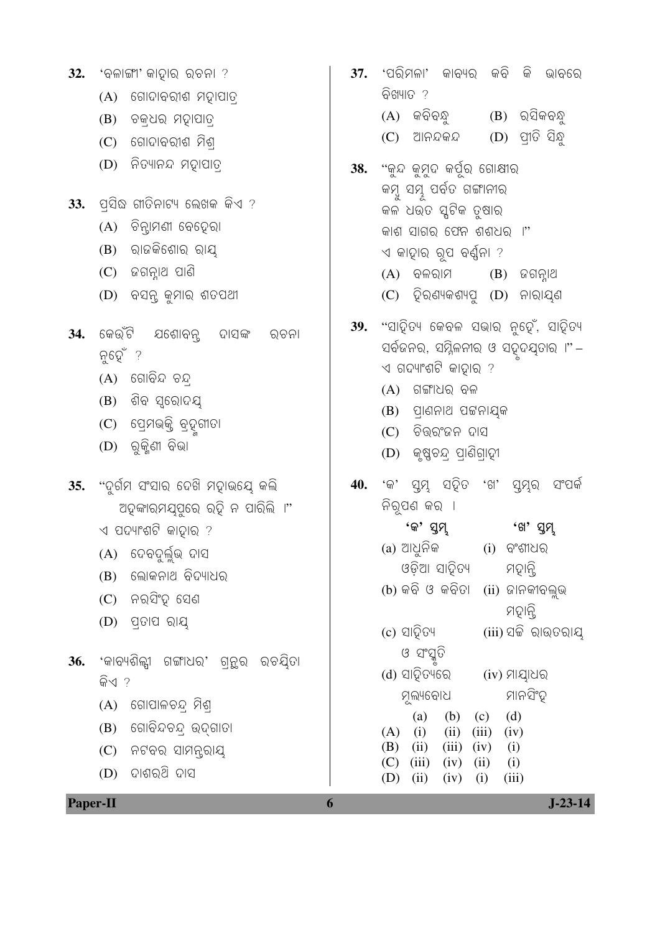|                 | ଚକ୍ଧର ମହାପାତ୍ର<br>(B)                                                                                                                   |     | କବିବନ୍ଧୁ<br>$(B)$ ର୍ସିକବନ୍ଧୁ<br>(A)                                                                                                                                                                  |
|-----------------|-----------------------------------------------------------------------------------------------------------------------------------------|-----|------------------------------------------------------------------------------------------------------------------------------------------------------------------------------------------------------|
|                 | ଗୋଦାବରୀଶ ମିଶ୍ର<br>(C)                                                                                                                   |     | $(D)$ ପ୍ରୀତି ସିନ୍ଧୁ<br>ଆନନ୍ଦକନ୍ଦ<br>(C)                                                                                                                                                              |
|                 | ନିତ୍ୟାନନ୍ଦ ମହାପାତ୍ର<br>(D)                                                                                                              | 38. | "କୁନ୍ଦ କୁମୁଦ କର୍ପୁର ଗୋଷୀର<br>କମ୍ବୁ ସମ୍ଭୂ ପର୍ବତ ଗଙ୍ଗାନୀର                                                                                                                                              |
| 33.             | ପ୍ରସିଦ୍ଧ ଗୀତିନାଟ୍ୟ ଲେଖକ କିଏ ?                                                                                                           |     | କଳ ଧଉତ ସ୍କଟିକ ତୃଷାର                                                                                                                                                                                  |
|                 | ଚିନ୍ଦାମଣୀ ବେଦେରା<br>(A)                                                                                                                 |     | କାଶ ସାଗର ଫେନ ଶଶଧର ।"                                                                                                                                                                                 |
|                 | ରାଜକିଶୋର ରାୟ<br>(B)                                                                                                                     |     | ଏ କାହାର ରୂପ ବର୍ଣ୍ଣନା ?                                                                                                                                                                               |
|                 | (C)<br>ଜଗନ୍ନାଥ ପାଣି                                                                                                                     |     | $(A)$ ବଳରାମ<br>$(B)$ ଜଗନ୍ନାଥ                                                                                                                                                                         |
|                 | ବସନ୍ତ କୁମାର ଶତପଥୀ<br>(D)                                                                                                                |     | (C) ହିରଣ୍ୟକଶ୍ୟସୁ (D) ନାରାଯ୍ଣ                                                                                                                                                                         |
| 34.             | କେଉଁଟି ଯଶୋବନ୍ସ ଦାସଙ୍କ<br>ରଚନା<br>ନୁହେଁ ?<br>$(A)$ ଗୋବିନ୍ଦ ଚନ୍ଦ୍ର<br>(B) ଶିବ ସ୍ରୋଦୟ<br>(C)  ପ୍ରେମଭକ୍ତି ବ୍ରଦୁଗୀତା<br>ରୁକ୍ଜିଣୀ ବିଭା<br>(D) | 39. | "ସାହିତ୍ୟ କେବଳ ସଭାର ନୁହେଁ, ସାହିତ୍ୟ<br>ସର୍ବଜନର, ସମ୍ମିଳନୀର ଓ ସତ୍ୱଦଯ୍ତାର ।"–<br>ଏ ଗଦ୍ୟାଂଶଟି କାହାର ?<br>ଗଙ୍ଗାଧର ବଳ<br>(A)<br>(B) ପ୍ରାଣନାଥ ପଟ୍ଟନାୟକ<br>$(C)$ ଚିତ୍ତରଂଜନ ଦାସ<br>(D) କୃଷ୍ଣଚନ୍ଦ୍ର ପ୍ରାଣିଗ୍ରାହୀ |
| 35.             | "ଦୁର୍ଗମ ସଂସାର ଦେଖି ମହାଭୟେ କଲି                                                                                                           | 40. | 'କ' ସ୍ୱମ୍ନ ସହିତ 'ଖ' ସ୍ତମ୍ବର<br>ସଂପର୍କ                                                                                                                                                                |
|                 | ଅହଙ୍କାରମଯ୍ପୁରେ ରହି ନ ପାରିଲି ।"                                                                                                          |     | ନିରୂପଣ କର <b>ା</b>                                                                                                                                                                                   |
|                 | ଏ ପଦ୍ୟାଂଶଟି କାହାର ?                                                                                                                     |     | 'କ' ସୁମ୍<br>'ଖ' ସୁମ୍                                                                                                                                                                                 |
|                 | (A) ଦେବଦୁର୍ଲୁଭ ଦାସ                                                                                                                      |     | (a) ଆଧୁନିକ         (i)  ବଂଶୀଧର                                                                                                                                                                       |
|                 | ଲୋକନାଥ ବିଦ୍ୟାଧର<br>(B)                                                                                                                  |     | ଓଡ଼ିଆ ସାହିତ୍ୟ<br>ମହାନ୍ତି<br>(b) କବି ଓ କବିତା (ii) ଜାନକୀବଲୁଭ                                                                                                                                           |
|                 | $(C)$ ନର୍ସିଂହ୍ ସେଣ                                                                                                                      |     | ମହାନ୍ତି                                                                                                                                                                                              |
|                 | ପ୍ତାପ ରାୟ<br>(D)                                                                                                                        |     | (c) ସାହିତ୍ୟ<br>(iii) ସଚ୍ଚି ରାଉତରାୟ                                                                                                                                                                   |
| 36.             | 'କାବ୍ୟଶିଳ୍ପୀ ଗଙ୍ଗାଧର' ଗ୍ରନ୍ଥର ରଚୟିତା                                                                                                    |     | ଓ ସଂସ୍କୃତି                                                                                                                                                                                           |
|                 | କିଏ ?                                                                                                                                   |     | (d) ସାହିତ୍ୟରେ<br>(iv) ମାୟାଧର                                                                                                                                                                         |
|                 | ଗୋପାଳଚନ୍ଦ୍ର ମିଶ୍ର<br>(A)                                                                                                                |     | ମାନସିଂହ<br>ମୂଲ୍ୟବୋଧ                                                                                                                                                                                  |
|                 | ଗୋବିନ୍ଦଚନ୍ଦ୍ର ଉଦ୍ଗାତା<br>(B)                                                                                                            |     | (b)<br>(d)<br>(a)<br>(c)<br>(i)<br>(iv)<br>(ii)<br>(iii)<br>(A)                                                                                                                                      |
|                 | ନଟବର ସାମନ୍ତରାୟ<br>(C)                                                                                                                   |     | (B)<br>(ii)<br>(iii)<br>(iv)<br>(i)                                                                                                                                                                  |
|                 | ଦାଶର୍ଥି ଦାସ<br>(D)                                                                                                                      |     | (C)<br>(iii)<br>(i)<br>(iv)<br>(ii)<br>(D)<br>(ii)<br>(iii)<br>(iv)<br>(i)                                                                                                                           |
| <b>Paper-II</b> |                                                                                                                                         | 6   | $J-23-14$                                                                                                                                                                                            |

 $32.$  'ବଳାଙ୍ଗୀ' କାହାର ରଚନା ?

୍ୟ ଖୋଦାବରୀଶ ମହାପାତ୍ର

37. 'ପରିମଳା' କାବ୍ୟର କବି କି ଭାବରେ

ବିଖ୍ୟାତ ?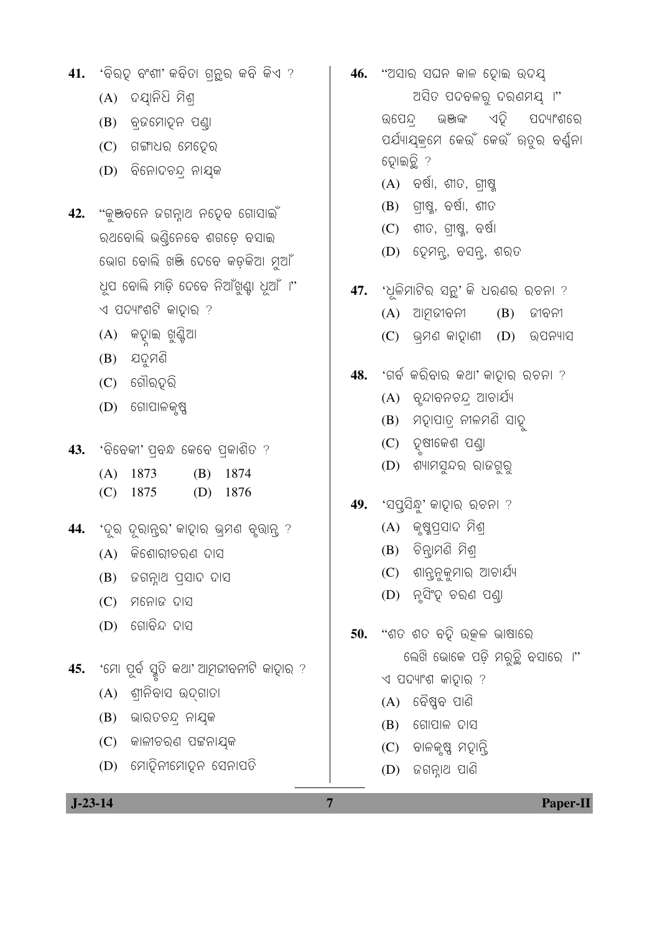## $J-23-14$

- (D) ମୋତିନୀମୋତ୍ୱନ ସେନାପତି
- (C) ଜାଳୀଚରଣ ପଟ୍ଟନାଯ୍କ
- (B) ଭାରତଚନ୍ଦ୍ର ନାୟକ
- $(A)$  ଶ୍ରୀନିବାସ ଉଦ୍ଗାତା
- 45. 'ମୋ ପୂର୍ବ ସ୍ମୃତି କଥା' ଆମୂଜୀବନୀଟି କାହାର ?
- $(D)$  ଗୋବିନ୍ଦ ଦାସ
- $(C)$  ମନୋଜ ଦାସ
- (B) ଜଗନ୍ନାଥ ପ୍ସାଦ ଦାସ
- $(A)$  କିଶୋରୀଚରଣ ଦାସ
- 44. 'ଦୂର ଦୂରାନ୍<sub>ତି</sub>' କାହାର ଭ୍ମଣ ବୃଭାନ୍ ?
- $(C)$  1875  $(D)$  1876
- $(A)$  1873  $(B)$  1874
- 43. 'ବିବେକୀ' ପ୍ରବନ୍ଧ କେବେ ପ୍ରକାଶିତ ?
- $(D)$  ଗୋପାଳକୃଷ୍ଣ
- $(C)$  ଗୌର୍ହରି
- $(B)$  ପଦୁମଣି
- (A) କହାଇ ଖୁଣ୍ଟିଆ
- 42. "କୁଞ୍ଜବନେ ଜଗନ୍ନାଥ ନତ୍ୱେବ ଗୋସାଇଁ ରଥବୋଲି ଭଣ୍ଠିନେବେ ଶଗଡ଼େ ବସାଇ ଭୋଗ ବୋଲି ଖଞ୍ଜି ଦେବେ କଡ଼କିଆ ମୂଆଁ ୂଧସ ବୋଲି ମାଡ଼ି ଦେବେ ନିଆଁଖୁଣ୍ଟା ଧୂଆଁ ।" ଏ ପଦ୍ୟାଂଶଟି କାହାର ?
- (D) ବିନୋଦଚନ୍ ନାୟକ
- $(C)$  ଗଙ୍ଗାଧର ମେଦେର
- 
- 
- 
- 
- (B) ବ୍ରଜମୋହୁନ ପଣ୍ଡା
- 
- (A) ଦୟାନିଧି ମିଶ୍
	-
	-
	-
	-
	-
- 
- 41. 'ବିରହ ବଂଶା' କବିତା ଗ୍ରନ୍ଥର କବି କିଏ ?
- 46. "ଅସାର ସଘନ କାଳ ହୋଇ ଉଦୟ ଅସିତ ପଦବଳରୁ ଦର୍ଣମୟ ।" ଭଞ୍ଜାଙ୍କ ଏଦ୍ୱି ପଦ୍ୟାଂଶରେ ଉପେନ୍ଦ୍ ପର୍ଯ୍ୟାୟକ୍ମେ କେଉଁ କେଉଁ ରତୁର ବର୍ଣ୍ଣନା ହୋଇତ୍ଥି ?
	- $(A)$  ବର୍ଷା, ଶୀତ, ଗୀଷୁ
	-
	-
	- $(B)$  ଗ୍ରୀଷ୍ଣୁ, ବର୍ଷା, ଶୀତ
	-
	-
	-
	-
	- $(C)$  ଶୀତ, ଗ୍ରୀଷ୍ଣୁ, ବର୍ଷା

(D) ହେମନ୍, ବସନ୍, ଶରତ

47. 'ଧୂଳିମାଟିର ସନ୍ଥ' କି ଧରଣର ରଚନା ?

 $(C)$  ଭ୍ମଣ କାହାଣୀ  $(D)$  ଉପନ୍ୟାସ

'ଗର୍ବ କରିବାର କଥା' କାହାର ରଚନା ?

(A) ବୃନ୍ଦାବନଚନ୍ଦ୍ର ଆଚାର୍ଯ୍ୟ

(D) ଶ୍ୟାମସୁନ୍ଦର ରାଜଗୁରୁ

 $(C)$  ଶାନ୍ତନୁକୁମାର ଆଚାର୍ଯ୍ୟ

(D) ନୃସିଂହ ଚରଣ ପଣ୍ଡା

50. "ଶତ ଶତ ବହି ଉତ୍କଳ ଭାଷାରେ

 $\triangleleft$  ପଦ୍ୟାଂଶ କାହାର ?

(A) ବୈଷ୍ଣବ ପାଣି

 $(B)$  ଗୋପାଳ ଦାସ

 $(D)$  ଜଗନ୍ନାଥ ପାଣି

 $\overline{7}$ 

(C) ଚାଳକୃଷ୍ଣ ମହାନ୍ତି

ଲେଖି ଭୋକେ ପଡ଼ି ମରୁଚ୍ଛି ବସାରେ ।"

Paper-II

 $(C)$  ହୁଷୀକେଶ ପଣ୍ଡା

49. 'ସପୃସିନ୍ଧୁ' କାହାର ରଚନା ?

(A) କୃଷ୍ଣପ୍ରସାଦ ମିଶ୍

 $(B)$  ଚିନ୍ଢାମଣି ମିଶ୍

(B) ମତ୍ୱାପାତ୍ର ନୀଳମଣି ସାତ୍

(B)

ଜୀବନୀ

- 
- 
- 
- 
- 
- 
- 
- 
- 
- 
- 
- 
- 
- 
- 
- 
- 
- 
- 
- 
- 
- 
- 
- 
- 
- 
- 
- 
- 
- 
- 
- 
- 

(A) ଆମୂଜୀବନୀ

48.

- 
- 
- 
- 
- 
-